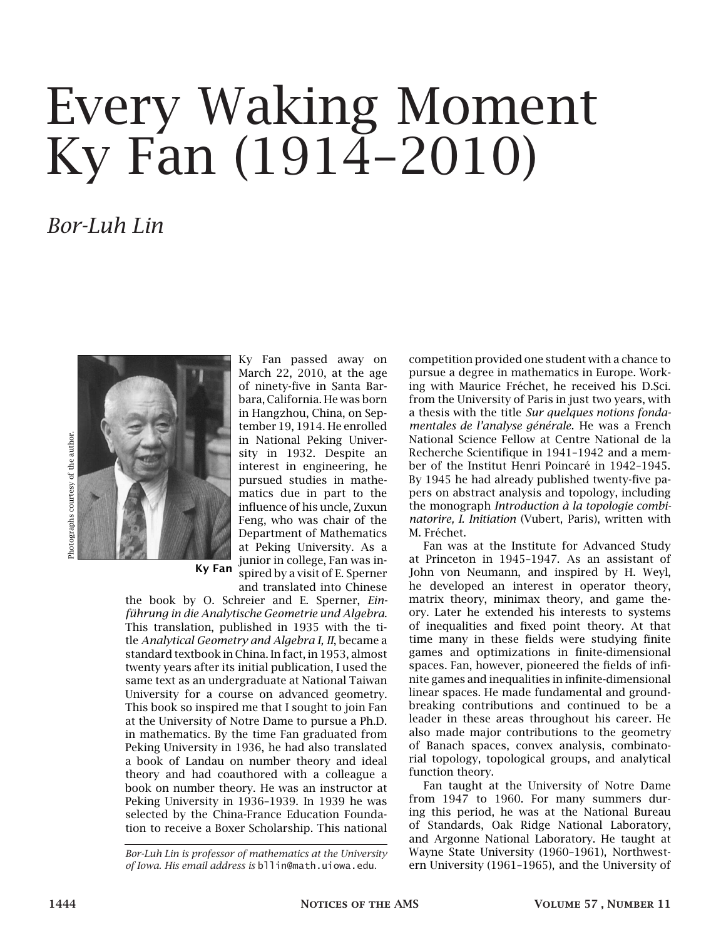## Every Waking Moment Ky Fan (1914–2010)

## *Bor-Luh Lin*



Photographs courtesy of the author.

March 22, 2010, at the age of ninety-five in Santa Barbara, California. He was born in Hangzhou, China, on September 19, 1914. He enrolled in National Peking University in 1932. Despite an interest in engineering, he pursued studies in mathematics due in part to the influence of his uncle, Zuxun Feng, who was chair of the Department of Mathematics at Peking University. As a junior in college, Fan was inspired by a visit of E. Sperner and translated into Chinese

Ky Fan passed away on

Ky Fan

the book by O. Schreier and E. Sperner, *Einführung in die Analytische Geometrie und Algebra*. This translation, published in 1935 with the title *Analytical Geometry and Algebra I, II*, became a standard textbook in China. In fact, in 1953, almost twenty years after its initial publication, I used the same text as an undergraduate at National Taiwan University for a course on advanced geometry. This book so inspired me that I sought to join Fan at the University of Notre Dame to pursue a Ph.D. in mathematics. By the time Fan graduated from Peking University in 1936, he had also translated a book of Landau on number theory and ideal theory and had coauthored with a colleague a book on number theory. He was an instructor at Peking University in 1936–1939. In 1939 he was selected by the China-France Education Foundation to receive a Boxer Scholarship. This national

*Bor-Luh Lin is professor of mathematics at the University of Iowa. His email address is* bllin@math.uiowa.edu*.*

competition provided one student with a chance to pursue a degree in mathematics in Europe. Working with Maurice Fréchet, he received his D.Sci. from the University of Paris in just two years, with a thesis with the title *Sur quelques notions fondamentales de l'analyse générale*. He was a French National Science Fellow at Centre National de la Recherche Scientifique in 1941–1942 and a member of the Institut Henri Poincaré in 1942–1945. By 1945 he had already published twenty-five papers on abstract analysis and topology, including the monograph *Introduction à la topologie combinatorire, I. Initiation* (Vubert, Paris), written with M. Fréchet.

Fan was at the Institute for Advanced Study at Princeton in 1945–1947. As an assistant of John von Neumann, and inspired by H. Weyl, he developed an interest in operator theory, matrix theory, minimax theory, and game theory. Later he extended his interests to systems of inequalities and fixed point theory. At that time many in these fields were studying finite games and optimizations in finite-dimensional spaces. Fan, however, pioneered the fields of infinite games and inequalities in infinite-dimensional linear spaces. He made fundamental and groundbreaking contributions and continued to be a leader in these areas throughout his career. He also made major contributions to the geometry of Banach spaces, convex analysis, combinatorial topology, topological groups, and analytical function theory.

Fan taught at the University of Notre Dame from 1947 to 1960. For many summers during this period, he was at the National Bureau of Standards, Oak Ridge National Laboratory, and Argonne National Laboratory. He taught at Wayne State University (1960–1961), Northwestern University (1961–1965), and the University of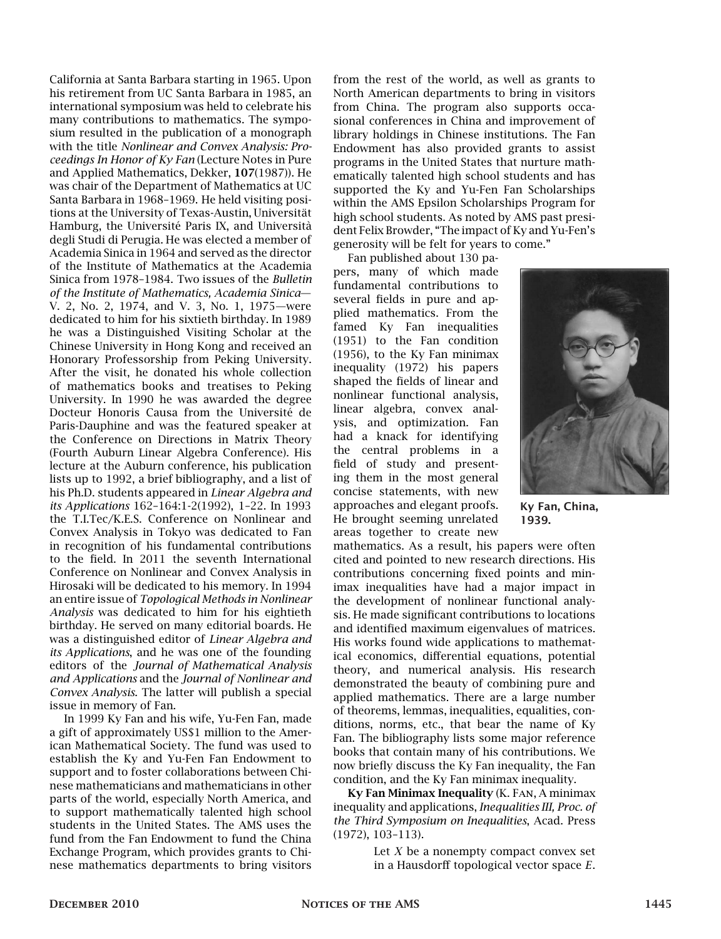California at Santa Barbara starting in 1965. Upon his retirement from UC Santa Barbara in 1985, an international symposium was held to celebrate his many contributions to mathematics. The symposium resulted in the publication of a monograph with the title *Nonlinear and Convex Analysis: Proceedings In Honor of Ky Fan* (Lecture Notes in Pure and Applied Mathematics, Dekker, 107(1987)). He was chair of the Department of Mathematics at UC Santa Barbara in 1968–1969. He held visiting positions at the University of Texas-Austin, Universität Hamburg, the Université Paris IX, and Università degli Studi di Perugia. He was elected a member of Academia Sinica in 1964 and served as the director of the Institute of Mathematics at the Academia Sinica from 1978–1984. Two issues of the *Bulletin of the Institute of Mathematics, Academia Sinica*— V. 2, No. 2, 1974, and V. 3, No. 1, 1975—were dedicated to him for his sixtieth birthday. In 1989 he was a Distinguished Visiting Scholar at the Chinese University in Hong Kong and received an Honorary Professorship from Peking University. After the visit, he donated his whole collection of mathematics books and treatises to Peking University. In 1990 he was awarded the degree Docteur Honoris Causa from the Université de Paris-Dauphine and was the featured speaker at the Conference on Directions in Matrix Theory (Fourth Auburn Linear Algebra Conference). His lecture at the Auburn conference, his publication lists up to 1992, a brief bibliography, and a list of his Ph.D. students appeared in *Linear Algebra and its Applications* 162–164:1-2(1992), 1–22. In 1993 the T.I.Tec/K.E.S. Conference on Nonlinear and Convex Analysis in Tokyo was dedicated to Fan in recognition of his fundamental contributions to the field. In 2011 the seventh International Conference on Nonlinear and Convex Analysis in Hirosaki will be dedicated to his memory. In 1994 an entire issue of *Topological Methods in Nonlinear Analysis* was dedicated to him for his eightieth birthday. He served on many editorial boards. He was a distinguished editor of *Linear Algebra and its Applications*, and he was one of the founding editors of the *Journal of Mathematical Analysis and Applications* and the *Journal of Nonlinear and Convex Analysis*. The latter will publish a special issue in memory of Fan.

In 1999 Ky Fan and his wife, Yu-Fen Fan, made a gift of approximately US\$1 million to the American Mathematical Society. The fund was used to establish the Ky and Yu-Fen Fan Endowment to support and to foster collaborations between Chinese mathematicians and mathematicians in other parts of the world, especially North America, and to support mathematically talented high school students in the United States. The AMS uses the fund from the Fan Endowment to fund the China Exchange Program, which provides grants to Chinese mathematics departments to bring visitors from the rest of the world, as well as grants to North American departments to bring in visitors from China. The program also supports occasional conferences in China and improvement of library holdings in Chinese institutions. The Fan Endowment has also provided grants to assist programs in the United States that nurture mathematically talented high school students and has supported the Ky and Yu-Fen Fan Scholarships within the AMS Epsilon Scholarships Program for high school students. As noted by AMS past president Felix Browder, "The impact of Ky and Yu-Fen's generosity will be felt for years to come."

Fan published about 130 papers, many of which made fundamental contributions to several fields in pure and applied mathematics. From the famed Ky Fan inequalities (1951) to the Fan condition (1956), to the Ky Fan minimax inequality (1972) his papers shaped the fields of linear and nonlinear functional analysis, linear algebra, convex analysis, and optimization. Fan had a knack for identifying the central problems in a field of study and presenting them in the most general concise statements, with new approaches and elegant proofs. He brought seeming unrelated areas together to create new



Ky Fan, China, 1939.

mathematics. As a result, his papers were often cited and pointed to new research directions. His contributions concerning fixed points and minimax inequalities have had a major impact in the development of nonlinear functional analysis. He made significant contributions to locations and identified maximum eigenvalues of matrices. His works found wide applications to mathematical economics, differential equations, potential theory, and numerical analysis. His research demonstrated the beauty of combining pure and applied mathematics. There are a large number of theorems, lemmas, inequalities, equalities, conditions, norms, etc., that bear the name of Ky Fan. The bibliography lists some major reference books that contain many of his contributions. We now briefly discuss the Ky Fan inequality, the Fan condition, and the Ky Fan minimax inequality.

Ky Fan Minimax Inequality (K. Fan, A minimax inequality and applications, *Inequalities III, Proc. of the Third Symposium on Inequalities*, Acad. Press (1972), 103–113).

> Let *X* be a nonempty compact convex set in a Hausdorff topological vector space *E*.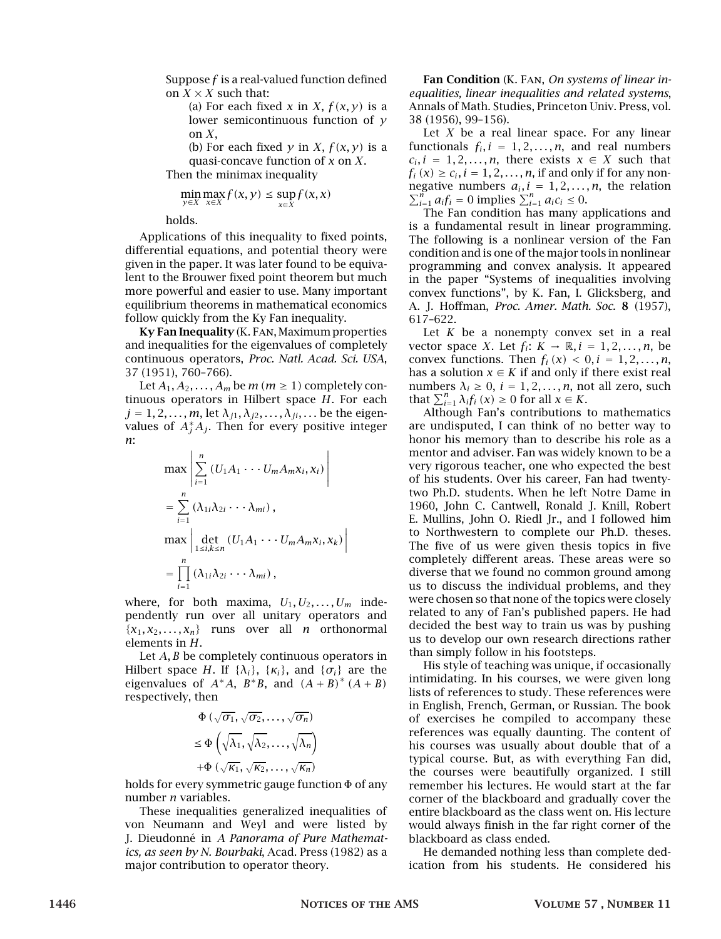Suppose *f* is a real-valued function defined on  $X \times X$  such that:

> (a) For each fixed *x* in *X*,  $f(x, y)$  is a lower semicontinuous function of *y* on *X*,

> (b) For each fixed  $y$  in *X*,  $f(x, y)$  is a quasi-concave function of *x* on *X*.

Then the minimax inequality

$$
\min_{y \in X} \max_{x \in X} f(x, y) \le \sup_{x \in X} f(x, x)
$$

holds.

Applications of this inequality to fixed points, differential equations, and potential theory were given in the paper. It was later found to be equivalent to the Brouwer fixed point theorem but much more powerful and easier to use. Many important equilibrium theorems in mathematical economics follow quickly from the Ky Fan inequality.

Ky Fan Inequality (K. Fan, Maximum properties and inequalities for the eigenvalues of completely continuous operators, *Proc. Natl. Acad. Sci. USA*, 37 (1951), 760–766).

Let  $A_1, A_2, \ldots, A_m$  be  $m (m \ge 1)$  completely continuous operators in Hilbert space *H*. For each  $j = 1, 2, \ldots, m$ , let  $\lambda_{j1}, \lambda_{j2}, \ldots, \lambda_{ji}, \ldots$  be the eigenvalues of  $A_j^*A_j.$  Then for every positive integer *n*:

$$
\max \left| \sum_{i=1}^{n} (U_1 A_1 \cdots U_m A_m x_i, x_i) \right|
$$
  
= 
$$
\sum_{i=1}^{n} (\lambda_{1i} \lambda_{2i} \cdots \lambda_{mi}),
$$
  

$$
\max \left| \det_{1 \le i,k \le n} (U_1 A_1 \cdots U_m A_m x_i, x_k) \right|
$$
  
= 
$$
\prod_{i=1}^{n} (\lambda_{1i} \lambda_{2i} \cdots \lambda_{mi}),
$$

where, for both maxima,  $U_1, U_2, \ldots, U_m$  independently run over all unitary operators and  ${x_1, x_2, \ldots, x_n}$  runs over all *n* orthonormal elements in *H*.

Let *A, B* be completely continuous operators in Hilbert space *H*. If { $\lambda_i$ }, { $\kappa_i$ }, and { $\sigma_i$ } are the eigenvalues of  $A^*A$ ,  $B^*B$ , and  $(A + B)^* (A + B)$ respectively, then

$$
\Phi\left(\sqrt{\sigma_1}, \sqrt{\sigma_2}, \dots, \sqrt{\sigma_n}\right)
$$
\n
$$
\leq \Phi\left(\sqrt{\lambda_1}, \sqrt{\lambda_2}, \dots, \sqrt{\lambda_n}\right)
$$
\n
$$
+\Phi\left(\sqrt{\kappa_1}, \sqrt{\kappa_2}, \dots, \sqrt{\kappa_n}\right)
$$

holds for every symmetric gauge function <sup>Φ</sup> of any number *n* variables.

These inequalities generalized inequalities of von Neumann and Weyl and were listed by J. Dieudonné in *A Panorama of Pure Mathematics, as seen by N. Bourbaki*, Acad. Press (1982) as a major contribution to operator theory.

Fan Condition (K. Fan, *On systems of linear inequalities, linear inequalities and related systems*, Annals of Math. Studies, Princeton Univ. Press, vol. 38 (1956), 99–156).

Let *X* be a real linear space. For any linear functionals  $f_i$ ,  $i = 1, 2, ..., n$ , and real numbers  $c_i, i = 1, 2, \ldots, n$ , there exists  $x \in X$  such that  $f_i(x) \ge c_i, i = 1, 2, \ldots, n$ , if and only if for any nonnegative numbers  $a_i$ ,  $i = 1, 2, ..., n$ , the relation  $\sum_{i=1}^{n} a_i f_i = 0$  implies  $\sum_{i=1}^{n} a_i c_i \le 0$ .<br>The Fan condition has many applications and

is a fundamental result in linear programming. The following is a nonlinear version of the Fan condition and is one of the major tools in nonlinear programming and convex analysis. It appeared in the paper "Systems of inequalities involving convex functions", by K. Fan, I. Glicksberg, and A. J. Hoffman, *Proc. Amer. Math. Soc.* 8 (1957), 617–622.

Let *K* be a nonempty convex set in a real vector space *X*. Let  $f_i: K \to \mathbb{R}, i = 1, 2, ..., n$ , be convex functions. Then  $f_i(x) < 0, i = 1, 2, ..., n$ , has a solution  $x \in K$  if and only if there exist real numbers  $\lambda_i \geq 0$ ,  $i = 1, 2, \ldots, n$ , not all zero, such that  $\sum_{i=1}^{n} \lambda_i f_i(x) \ge 0$  for all  $x \in K$ .

Although Fan's contributions to mathematics are undisputed, I can think of no better way to honor his memory than to describe his role as a mentor and adviser. Fan was widely known to be a very rigorous teacher, one who expected the best of his students. Over his career, Fan had twentytwo Ph.D. students. When he left Notre Dame in 1960, John C. Cantwell, Ronald J. Knill, Robert E. Mullins, John O. Riedl Jr., and I followed him to Northwestern to complete our Ph.D. theses. The five of us were given thesis topics in five completely different areas. These areas were so diverse that we found no common ground among us to discuss the individual problems, and they were chosen so that none of the topics were closely related to any of Fan's published papers. He had decided the best way to train us was by pushing us to develop our own research directions rather than simply follow in his footsteps.

His style of teaching was unique, if occasionally intimidating. In his courses, we were given long lists of references to study. These references were in English, French, German, or Russian. The book of exercises he compiled to accompany these references was equally daunting. The content of his courses was usually about double that of a typical course. But, as with everything Fan did, the courses were beautifully organized. I still remember his lectures. He would start at the far corner of the blackboard and gradually cover the entire blackboard as the class went on. His lecture would always finish in the far right corner of the blackboard as class ended.

He demanded nothing less than complete dedication from his students. He considered his